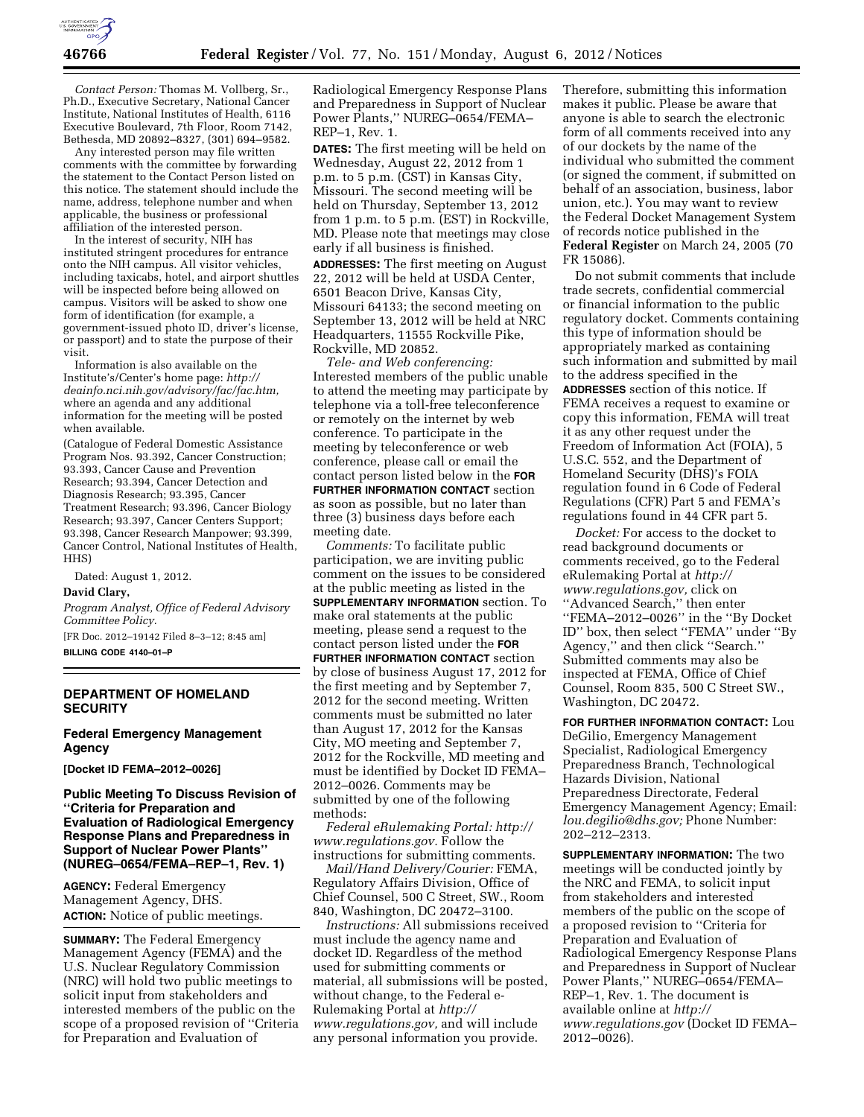

*Contact Person:* Thomas M. Vollberg, Sr., Ph.D., Executive Secretary, National Cancer Institute, National Institutes of Health, 6116 Executive Boulevard, 7th Floor, Room 7142, Bethesda, MD 20892–8327, (301) 694–9582.

Any interested person may file written comments with the committee by forwarding the statement to the Contact Person listed on this notice. The statement should include the name, address, telephone number and when applicable, the business or professional affiliation of the interested person.

In the interest of security, NIH has instituted stringent procedures for entrance onto the NIH campus. All visitor vehicles, including taxicabs, hotel, and airport shuttles will be inspected before being allowed on campus. Visitors will be asked to show one form of identification (for example, a government-issued photo ID, driver's license, or passport) and to state the purpose of their visit.

Information is also available on the Institute's/Center's home page: *[http://](http://deainfo.nci.nih.gov/advisory/fac/fac.htm) [deainfo.nci.nih.gov/advisory/fac/fac.htm,](http://deainfo.nci.nih.gov/advisory/fac/fac.htm)*  where an agenda and any additional information for the meeting will be posted when available.

(Catalogue of Federal Domestic Assistance Program Nos. 93.392, Cancer Construction; 93.393, Cancer Cause and Prevention Research; 93.394, Cancer Detection and Diagnosis Research; 93.395, Cancer Treatment Research; 93.396, Cancer Biology Research; 93.397, Cancer Centers Support; 93.398, Cancer Research Manpower; 93.399, Cancer Control, National Institutes of Health, HHS)

Dated: August 1, 2012.

#### **David Clary,**

*Program Analyst, Office of Federal Advisory Committee Policy.* 

[FR Doc. 2012–19142 Filed 8–3–12; 8:45 am] **BILLING CODE 4140–01–P** 

#### **DEPARTMENT OF HOMELAND SECURITY**

# **Federal Emergency Management Agency**

**[Docket ID FEMA–2012–0026]** 

**Public Meeting To Discuss Revision of ''Criteria for Preparation and Evaluation of Radiological Emergency Response Plans and Preparedness in Support of Nuclear Power Plants'' (NUREG–0654/FEMA–REP–1, Rev. 1)** 

**AGENCY:** Federal Emergency Management Agency, DHS. **ACTION:** Notice of public meetings.

**SUMMARY:** The Federal Emergency Management Agency (FEMA) and the U.S. Nuclear Regulatory Commission (NRC) will hold two public meetings to solicit input from stakeholders and interested members of the public on the scope of a proposed revision of ''Criteria for Preparation and Evaluation of

Radiological Emergency Response Plans and Preparedness in Support of Nuclear Power Plants,'' NUREG–0654/FEMA– REP–1, Rev. 1.

**DATES:** The first meeting will be held on Wednesday, August 22, 2012 from 1 p.m. to 5 p.m. (CST) in Kansas City, Missouri. The second meeting will be held on Thursday, September 13, 2012 from 1 p.m. to 5 p.m. (EST) in Rockville, MD. Please note that meetings may close early if all business is finished.

**ADDRESSES:** The first meeting on August 22, 2012 will be held at USDA Center, 6501 Beacon Drive, Kansas City, Missouri 64133; the second meeting on September 13, 2012 will be held at NRC Headquarters, 11555 Rockville Pike, Rockville, MD 20852.

*Tele- and Web conferencing:*  Interested members of the public unable to attend the meeting may participate by telephone via a toll-free teleconference or remotely on the internet by web conference. To participate in the meeting by teleconference or web conference, please call or email the contact person listed below in the **FOR FURTHER INFORMATION CONTACT** section as soon as possible, but no later than three (3) business days before each meeting date.

*Comments:* To facilitate public participation, we are inviting public comment on the issues to be considered at the public meeting as listed in the **SUPPLEMENTARY INFORMATION** section. To make oral statements at the public meeting, please send a request to the contact person listed under the **FOR FURTHER INFORMATION CONTACT** section by close of business August 17, 2012 for the first meeting and by September 7, 2012 for the second meeting. Written comments must be submitted no later than August 17, 2012 for the Kansas City, MO meeting and September 7, 2012 for the Rockville, MD meeting and must be identified by Docket ID FEMA– 2012–0026. Comments may be submitted by one of the following methods:

*Federal eRulemaking Portal: [http://](http://www.regulations.gov)  [www.regulations.gov.](http://www.regulations.gov)* Follow the instructions for submitting comments.

*Mail/Hand Delivery/Courier:* FEMA, Regulatory Affairs Division, Office of Chief Counsel, 500 C Street, SW., Room 840, Washington, DC 20472–3100.

*Instructions:* All submissions received must include the agency name and docket ID. Regardless of the method used for submitting comments or material, all submissions will be posted, without change, to the Federal e-Rulemaking Portal at *[http://](http://www.regulations.gov) [www.regulations.gov,](http://www.regulations.gov)* and will include any personal information you provide.

Therefore, submitting this information makes it public. Please be aware that anyone is able to search the electronic form of all comments received into any of our dockets by the name of the individual who submitted the comment (or signed the comment, if submitted on behalf of an association, business, labor union, etc.). You may want to review the Federal Docket Management System of records notice published in the **Federal Register** on March 24, 2005 (70 FR 15086).

Do not submit comments that include trade secrets, confidential commercial or financial information to the public regulatory docket. Comments containing this type of information should be appropriately marked as containing such information and submitted by mail to the address specified in the **ADDRESSES** section of this notice. If FEMA receives a request to examine or copy this information, FEMA will treat it as any other request under the Freedom of Information Act (FOIA), 5 U.S.C. 552, and the Department of Homeland Security (DHS)'s FOIA regulation found in 6 Code of Federal Regulations (CFR) Part 5 and FEMA's regulations found in 44 CFR part 5.

*Docket:* For access to the docket to read background documents or comments received, go to the Federal eRulemaking Portal at *[http://](http://www.regulations.gov)  [www.regulations.gov,](http://www.regulations.gov)* click on ''Advanced Search,'' then enter ''FEMA–2012–0026'' in the ''By Docket ID'' box, then select ''FEMA'' under ''By Agency,'' and then click ''Search.'' Submitted comments may also be inspected at FEMA, Office of Chief Counsel, Room 835, 500 C Street SW., Washington, DC 20472.

**FOR FURTHER INFORMATION CONTACT:** Lou DeGilio, Emergency Management Specialist, Radiological Emergency Preparedness Branch, Technological Hazards Division, National Preparedness Directorate, Federal Emergency Management Agency; Email: *[lou.degilio@dhs.gov;](mailto:lou.degilio@dhs.gov)* Phone Number: 202–212–2313.

**SUPPLEMENTARY INFORMATION:** The two meetings will be conducted jointly by the NRC and FEMA, to solicit input from stakeholders and interested members of the public on the scope of a proposed revision to ''Criteria for Preparation and Evaluation of Radiological Emergency Response Plans and Preparedness in Support of Nuclear Power Plants,'' NUREG–0654/FEMA– REP–1, Rev. 1. The document is available online at *[http://](http://www.regulations.gov)  [www.regulations.gov](http://www.regulations.gov)* (Docket ID FEMA– 2012–0026).